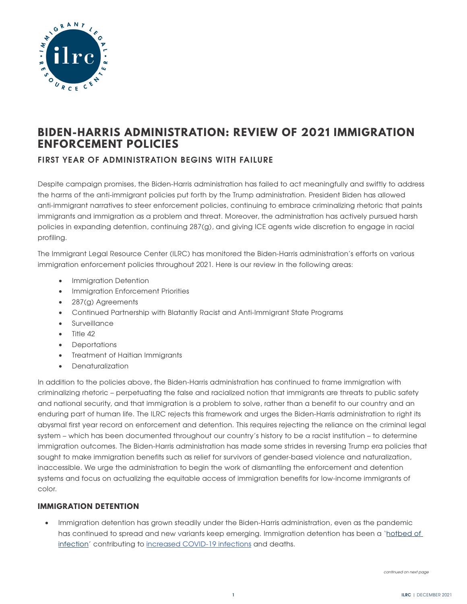

# **BIDEN-HARRIS ADMINISTRATION: REVIEW OF 2021 IMMIGRATION ENFORCEMENT POLICIES**

## **FIRST YEAR OF ADMINISTRATION BEGINS WITH FAILURE**

Despite campaign promises, the Biden-Harris administration has failed to act meaningfully and swiftly to address the harms of the anti-immigrant policies put forth by the Trump administration. President Biden has allowed anti-immigrant narratives to steer enforcement policies, continuing to embrace criminalizing rhetoric that paints immigrants and immigration as a problem and threat. Moreover, the administration has actively pursued harsh policies in expanding detention, continuing 287(g), and giving ICE agents wide discretion to engage in racial profiling.

The Immigrant Legal Resource Center (ILRC) has monitored the Biden-Harris administration's efforts on various immigration enforcement policies throughout 2021. Here is our review in the following areas:

- Immigration Detention
- Immigration Enforcement Priorities
- 287(g) Agreements
- Continued Partnership with Blatantly Racist and Anti-Immigrant State Programs
- Surveillance
- Title 42
- Deportations
- Treatment of Haitian Immigrants
- Denaturalization

In addition to the policies above, the Biden-Harris administration has continued to frame immigration with criminalizing rhetoric – perpetuating the false and racialized notion that immigrants are threats to public safety and national security, and that immigration is a problem to solve, rather than a benefit to our country and an enduring part of human life. The ILRC rejects this framework and urges the Biden-Harris administration to right its abysmal first year record on enforcement and detention. This requires rejecting the reliance on the criminal legal system – which has been documented throughout our country's history to be a racist institution – to determine immigration outcomes. The Biden-Harris administration has made some strides in reversing Trump era policies that sought to make immigration benefits such as relief for survivors of gender-based violence and naturalization, inaccessible. We urge the administration to begin the work of dismantling the enforcement and detention systems and focus on actualizing the equitable access of immigration benefits for low-income immigrants of color.

## **IMMIGRATION DETENTION**

• Immigration detention has grown steadily under the Biden-Harris administration, even as the pandemic has continued to spread and new variants keep emerging. Immigration detention has been a '[hotbed of](https://www.detentionwatchnetwork.org/pressroom/releases/2020/hotbeds-infection-new-report-details-contribution-ice-s-failed-pandemic)  [infection](https://www.detentionwatchnetwork.org/pressroom/releases/2020/hotbeds-infection-new-report-details-contribution-ice-s-failed-pandemic)' contributing to [increased COVID-19 infections](https://uclacovidbehindbars.org/ice-outbreaks-report) and deaths.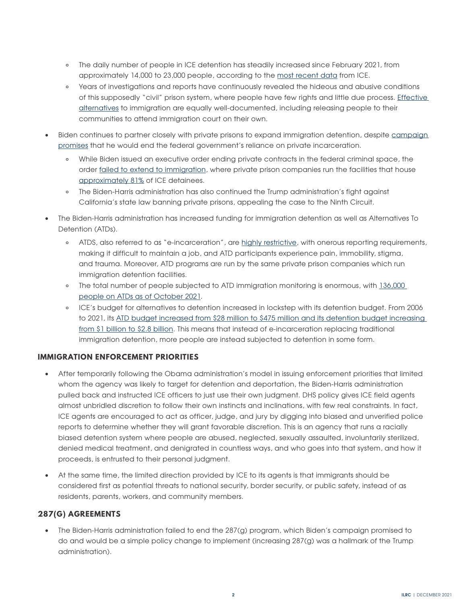- The daily number of people in ICE detention has steadily increased since February 2021, from approximately 14,000 to 23,000 people, according to the [most recent data](https://www.ice.gov/detain/detention-management) from ICE.
- Years of investigations and reports have continuously revealed the hideous and abusive conditions of this supposedly "civil" prison system, where people have few rights and little due process. [Effective](https://www.freedomforimmigrants.org/alternatives-to-detention)  [alternatives](https://www.freedomforimmigrants.org/alternatives-to-detention) to immigration are equally well-documented, including releasing people to their communities to attend immigration court on their own.
- Biden continues to partner closely with private prisons to expand immigration detention, despite campaign [promises](https://joebiden.com/justice/) that he would end the federal government's reliance on private incarceration.
	- While Biden issued an executive order ending private contracts in the federal criminal space, the order [failed to extend to immigration](https://www.npr.org/2021/09/13/1036576308/biden-ended-contracts-with-private-prisons-so-one-may-turn-to-house-immigrants), where private prison companies run the facilities that house [approximately 81%](https://immigrantjustice.org/staff/blog/phase-out-private-prisons-must-extend-immigration-detention-system) of ICE detainees.
	- The Biden-Harris administration has also continued the Trump administration's fight against California's state law banning private prisons, appealing the case to the Ninth Circuit.
- The Biden-Harris administration has increased funding for immigration detention as well as Alternatives To Detention (ATDs).
	- ATDS, also referred to as "e-incarceration", are [highly restrictive](https://www.californialawreview.org/wp-content/uploads/2020/04/6-Pittman_Released-Into-Shackles.pdf), with onerous reporting requirements, making it difficult to maintain a job, and ATD participants experience pain, immobility, stigma, and trauma. Moreover, ATD programs are run by the same private prison companies which run immigration detention facilities.
	- The total number of people subjected to ATD immigration monitoring is enormous, with [136,000](https://www.ice.gov/detain/detention-management)  [people on ATDs as of October 2021](https://www.ice.gov/detain/detention-management).
	- ICE's budget for alternatives to detention increased in lockstep with its detention budget. From 2006 to 2021, its [ATD budget increased from \\$28 million to \\$475 million and its detention budget increasing](https://www.flipsnack.com/justfutures/ice-digital-prisons-1u8w3fnd1j/full-view.html)  [from \\$1 billion to \\$2.8 billion](https://www.flipsnack.com/justfutures/ice-digital-prisons-1u8w3fnd1j/full-view.html). This means that instead of e-incarceration replacing traditional immigration detention, more people are instead subjected to detention in some form.

## **IMMIGRATION ENFORCEMENT PRIORITIES**

- After temporarily following the Obama administration's model in issuing enforcement priorities that limited whom the agency was likely to target for detention and deportation, the Biden-Harris administration pulled back and instructed ICE officers to just use their own judgment. DHS policy gives ICE field agents almost unbridled discretion to follow their own instincts and inclinations, with few real constraints. In fact, ICE agents are encouraged to act as officer, judge, and jury by digging into biased and unverified police reports to determine whether they will grant favorable discretion. This is an agency that runs a racially biased detention system where people are abused, neglected, sexually assaulted, involuntarily sterilized, denied medical treatment, and denigrated in countless ways, and who goes into that system, and how it proceeds, is entrusted to their personal judgment.
- At the same time, the limited direction provided by ICE to its agents is that immigrants should be considered first as potential threats to national security, border security, or public safety, instead of as residents, parents, workers, and community members.

## **287(G) AGREEMENTS**

• The Biden-Harris administration failed to end the 287(g) program, which Biden's campaign promised to do and would be a simple policy change to implement (increasing 287(g) was a hallmark of the Trump administration).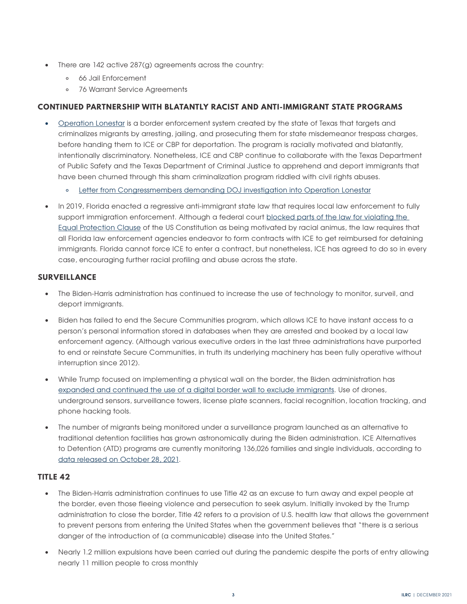- There are 142 active 287(g) agreements across the country:
	- 66 Jail Enforcement
	- 76 Warrant Service Agreements

## **CONTINUED PARTNERSHIP WITH BLATANTLY RACIST AND ANTI-IMMIGRANT STATE PROGRAMS**

- [Operation Lonestar](https://justfutureslaw.org/wp-content/uploads/2021/08/Operation-Lone-Star-Fact-Sheet.pdf) is a border enforcement system created by the state of Texas that targets and criminalizes migrants by arresting, jailing, and prosecuting them for state misdemeanor trespass charges, before handing them to ICE or CBP for deportation. The program is racially motivated and blatantly, intentionally discriminatory. Nonetheless, ICE and CBP continue to collaborate with the Texas Department of Public Safety and the Texas Department of Criminal Justice to apprehend and deport immigrants that have been churned through this sham criminalization program riddled with civil rights abuses.
	- [Letter from Congressmembers demanding DOJ investigation into Operation Lonestar](https://castro.house.gov/imo/media/doc/10.29.21%20Castro%20Letter%20Operation%20Lone%20Star.pdf)
- In 2019, Florida enacted a regressive anti-immigrant state law that requires local law enforcement to fully support immigration enforcement. Although a federal court blocked parts of the law for violating the [Equal Protection Clause](https://www.law360.com/articles/1423980/judge-finds-parts-of-fla-anti-sanctuary-law-unconstitutional) of the US Constitution as being motivated by racial animus, the law requires that all Florida law enforcement agencies endeavor to form contracts with ICE to get reimbursed for detaining immigrants. Florida cannot force ICE to enter a contract, but nonetheless, ICE has agreed to do so in every case, encouraging further racial profiling and abuse across the state.

## **SURVEILLANCE**

- The Biden-Harris administration has continued to increase the use of technology to monitor, surveil, and deport immigrants.
- Biden has failed to end the Secure Communities program, which allows ICE to have instant access to a person's personal information stored in databases when they are arrested and booked by a local law enforcement agency. (Although various executive orders in the last three administrations have purported to end or reinstate Secure Communities, in truth its underlying machinery has been fully operative without interruption since 2012).
- While Trump focused on implementing a physical wall on the border, the Biden administration has [expanded and continued the use of a digital border wall to exclude immigrants](https://notechforice.com/wp-content/uploads/2021/10/Deadly.Digital.Border.Wall_.pdf). Use of drones, underground sensors, surveillance towers, license plate scanners, facial recognition, location tracking, and phone hacking tools.
- The number of migrants being monitored under a surveillance program launched as an alternative to traditional detention facilities has grown astronomically during the Biden administration. ICE Alternatives to Detention (ATD) programs are currently monitoring 136,026 families and single individuals, according to [data released on October 28, 2021.](https://trac.syr.edu/immigration/quickfacts/)

#### **TITLE 42**

- The Biden-Harris administration continues to use Title 42 as an excuse to turn away and expel people at the border, even those fleeing violence and persecution to seek asylum. Initially invoked by the Trump administration to close the border, Title 42 refers to a provision of U.S. health law that allows the government to prevent persons from entering the United States when the government believes that "there is a serious danger of the introduction of (a communicable) disease into the United States."
- Nearly 1.2 million expulsions have been carried out during the pandemic despite the ports of entry allowing nearly 11 million people to cross monthly